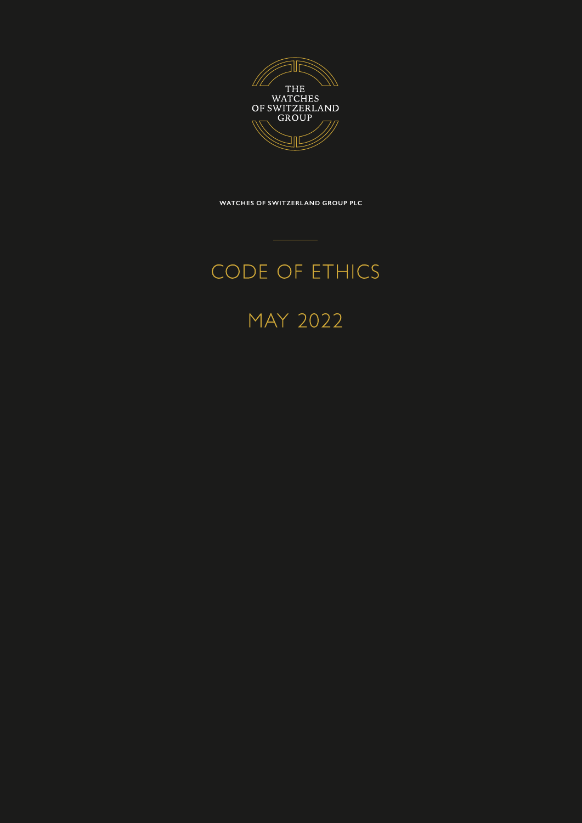

**WATCHES OF SWITZERLAND GROUP PLC**

# CODE OF ETHICS

MAY 2022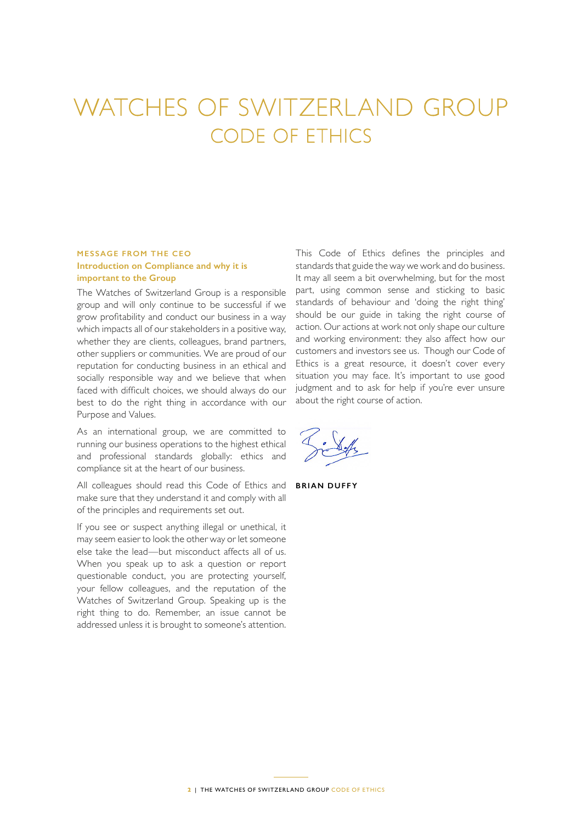# WATCHES OF SWITZERLAND GROUP CODE OF ETHICS

# **MESSAGE FROM THE CEO Introduction on Compliance and why it is important to the Group**

The Watches of Switzerland Group is a responsible group and will only continue to be successful if we grow profitability and conduct our business in a way which impacts all of our stakeholders in a positive way, whether they are clients, colleagues, brand partners, other suppliers or communities. We are proud of our reputation for conducting business in an ethical and socially responsible way and we believe that when faced with difficult choices, we should always do our best to do the right thing in accordance with our Purpose and Values.

As an international group, we are committed to running our business operations to the highest ethical and professional standards globally: ethics and compliance sit at the heart of our business.

All colleagues should read this Code of Ethics and make sure that they understand it and comply with all of the principles and requirements set out.

If you see or suspect anything illegal or unethical, it may seem easier to look the other way or let someone else take the lead—but misconduct affects all of us. When you speak up to ask a question or report questionable conduct, you are protecting yourself, your fellow colleagues, and the reputation of the Watches of Switzerland Group. Speaking up is the right thing to do. Remember, an issue cannot be addressed unless it is brought to someone's attention.

This Code of Ethics defines the principles and standards that guide the way we work and do business. It may all seem a bit overwhelming, but for the most part, using common sense and sticking to basic standards of behaviour and 'doing the right thing' should be our guide in taking the right course of action. Our actions at work not only shape our culture and working environment: they also affect how our customers and investors see us. Though our Code of Ethics is a great resource, it doesn't cover every situation you may face. It's important to use good judgment and to ask for help if you're ever unsure about the right course of action.

**BRIAN DUFFY**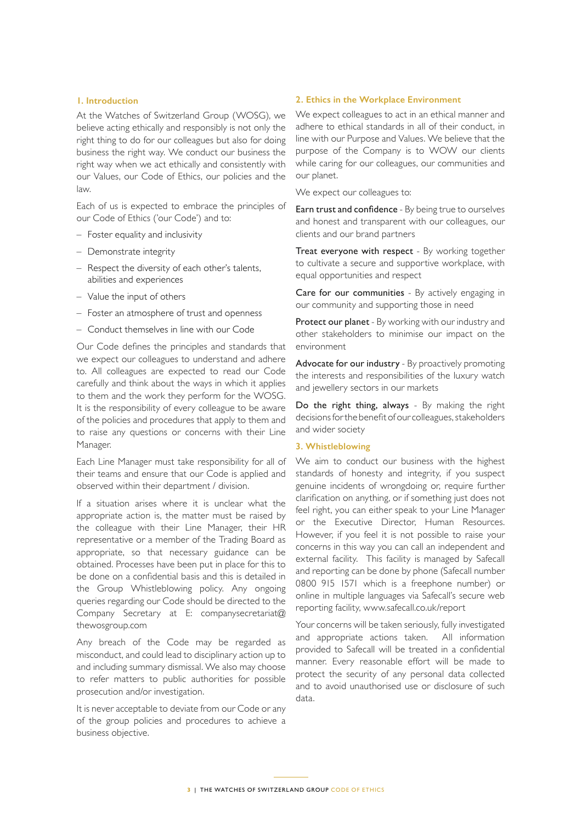#### **1. Introduction**

At the Watches of Switzerland Group (WOSG), we believe acting ethically and responsibly is not only the right thing to do for our colleagues but also for doing business the right way. We conduct our business the right way when we act ethically and consistently with our Values, our Code of Ethics, our policies and the law.

Each of us is expected to embrace the principles of our Code of Ethics ('our Code') and to:

- Foster equality and inclusivity
- Demonstrate integrity
- Respect the diversity of each other's talents, abilities and experiences
- Value the input of others
- Foster an atmosphere of trust and openness
- Conduct themselves in line with our Code

Our Code defines the principles and standards that we expect our colleagues to understand and adhere to. All colleagues are expected to read our Code carefully and think about the ways in which it applies to them and the work they perform for the WOSG. It is the responsibility of every colleague to be aware of the policies and procedures that apply to them and to raise any questions or concerns with their Line Manager.

Each Line Manager must take responsibility for all of their teams and ensure that our Code is applied and observed within their department / division.

If a situation arises where it is unclear what the appropriate action is, the matter must be raised by the colleague with their Line Manager, their HR representative or a member of the Trading Board as appropriate, so that necessary guidance can be obtained. Processes have been put in place for this to be done on a confidential basis and this is detailed in the Group Whistleblowing policy. Any ongoing queries regarding our Code should be directed to the Company Secretary at E: companysecretariat@ thewosgroup.com

Any breach of the Code may be regarded as misconduct, and could lead to disciplinary action up to and including summary dismissal. We also may choose to refer matters to public authorities for possible prosecution and/or investigation.

It is never acceptable to deviate from our Code or any of the group policies and procedures to achieve a business objective.

#### **2. Ethics in the Workplace Environment**

We expect colleagues to act in an ethical manner and adhere to ethical standards in all of their conduct, in line with our Purpose and Values. We believe that the purpose of the Company is to WOW our clients while caring for our colleagues, our communities and our planet.

We expect our colleagues to:

Earn trust and confidence - By being true to ourselves and honest and transparent with our colleagues, our clients and our brand partners

Treat everyone with respect - By working together to cultivate a secure and supportive workplace, with equal opportunities and respect

Care for our communities - By actively engaging in our community and supporting those in need

Protect our planet - By working with our industry and other stakeholders to minimise our impact on the environment

Advocate for our industry - By proactively promoting the interests and responsibilities of the luxury watch and jewellery sectors in our markets

Do the right thing, always - By making the right decisions for the benefit of our colleagues, stakeholders and wider society

#### **3. Whistleblowing**

We aim to conduct our business with the highest standards of honesty and integrity, if you suspect genuine incidents of wrongdoing or, require further clarification on anything, or if something just does not feel right, you can either speak to your Line Manager or the Executive Director, Human Resources. However, if you feel it is not possible to raise your concerns in this way you can call an independent and external facility. This facility is managed by Safecall and reporting can be done by phone (Safecall number 0800 915 1571 which is a freephone number) or online in multiple languages via Safecall's secure web reporting facility, www.safecall.co.uk/report

Your concerns will be taken seriously, fully investigated and appropriate actions taken. All information provided to Safecall will be treated in a confidential manner. Every reasonable effort will be made to protect the security of any personal data collected and to avoid unauthorised use or disclosure of such data.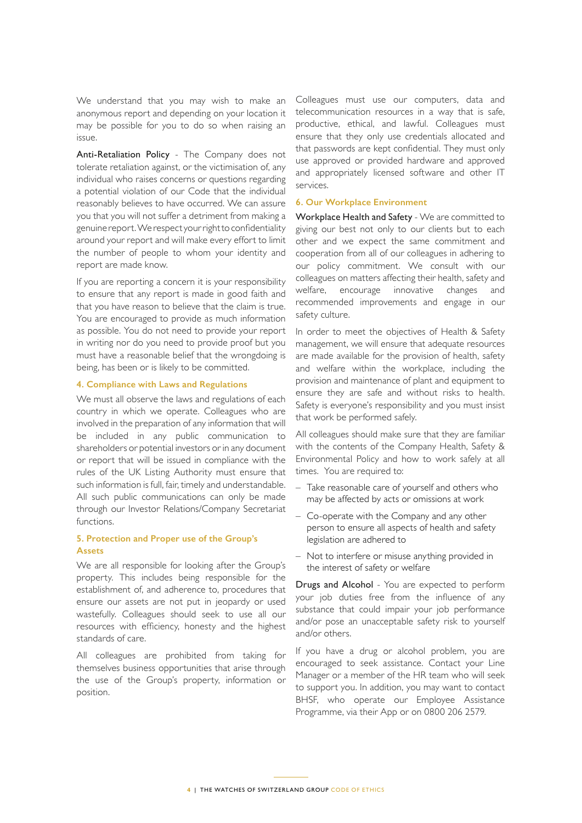We understand that you may wish to make an anonymous report and depending on your location it may be possible for you to do so when raising an issue.

Anti-Retaliation Policy - The Company does not tolerate retaliation against, or the victimisation of, any individual who raises concerns or questions regarding a potential violation of our Code that the individual reasonably believes to have occurred. We can assure you that you will not suffer a detriment from making a genuine report. We respect your right to confidentiality around your report and will make every effort to limit the number of people to whom your identity and report are made know.

If you are reporting a concern it is your responsibility to ensure that any report is made in good faith and that you have reason to believe that the claim is true. You are encouraged to provide as much information as possible. You do not need to provide your report in writing nor do you need to provide proof but you must have a reasonable belief that the wrongdoing is being, has been or is likely to be committed.

#### **4. Compliance with Laws and Regulations**

We must all observe the laws and regulations of each country in which we operate. Colleagues who are involved in the preparation of any information that will be included in any public communication to shareholders or potential investors or in any document or report that will be issued in compliance with the rules of the UK Listing Authority must ensure that such information is full, fair, timely and understandable. All such public communications can only be made through our Investor Relations/Company Secretariat functions.

## **5. Protection and Proper use of the Group's Assets**

We are all responsible for looking after the Group's property. This includes being responsible for the establishment of, and adherence to, procedures that ensure our assets are not put in jeopardy or used wastefully. Colleagues should seek to use all our resources with efficiency, honesty and the highest standards of care.

All colleagues are prohibited from taking for themselves business opportunities that arise through the use of the Group's property, information or position.

Colleagues must use our computers, data and telecommunication resources in a way that is safe, productive, ethical, and lawful. Colleagues must ensure that they only use credentials allocated and that passwords are kept confidential. They must only use approved or provided hardware and approved and appropriately licensed software and other IT services.

#### **6. Our Workplace Environment**

Workplace Health and Safety - We are committed to giving our best not only to our clients but to each other and we expect the same commitment and cooperation from all of our colleagues in adhering to our policy commitment. We consult with our colleagues on matters affecting their health, safety and welfare, encourage innovative changes and recommended improvements and engage in our safety culture.

In order to meet the objectives of Health & Safety management, we will ensure that adequate resources are made available for the provision of health, safety and welfare within the workplace, including the provision and maintenance of plant and equipment to ensure they are safe and without risks to health. Safety is everyone's responsibility and you must insist that work be performed safely.

All colleagues should make sure that they are familiar with the contents of the Company Health, Safety & Environmental Policy and how to work safely at all times. You are required to:

- Take reasonable care of yourself and others who may be affected by acts or omissions at work
- Co-operate with the Company and any other person to ensure all aspects of health and safety legislation are adhered to
- Not to interfere or misuse anything provided in the interest of safety or welfare

Drugs and Alcohol - You are expected to perform your job duties free from the influence of any substance that could impair your job performance and/or pose an unacceptable safety risk to yourself and/or others.

If you have a drug or alcohol problem, you are encouraged to seek assistance. Contact your Line Manager or a member of the HR team who will seek to support you. In addition, you may want to contact BHSF, who operate our Employee Assistance Programme, via their App or on 0800 206 2579.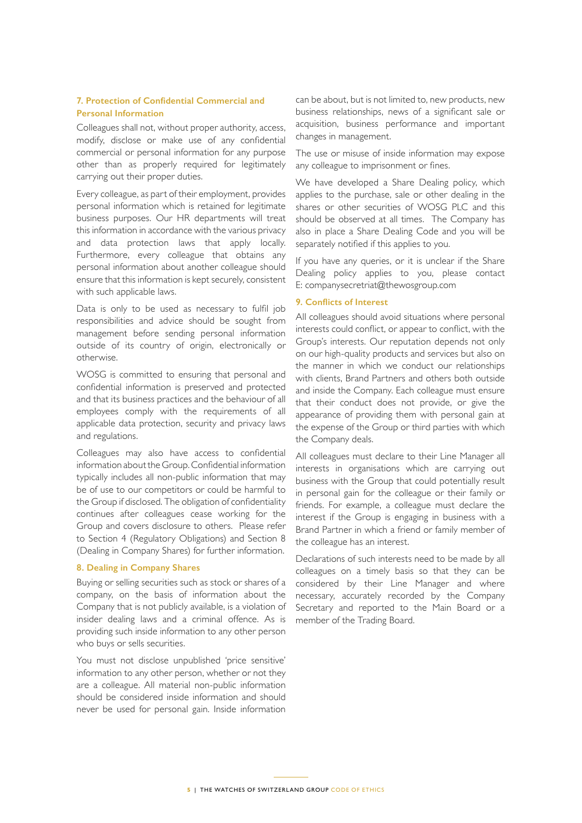# **7. Protection of Confidential Commercial and Personal Information**

Colleagues shall not, without proper authority, access, modify, disclose or make use of any confidential commercial or personal information for any purpose other than as properly required for legitimately carrying out their proper duties.

Every colleague, as part of their employment, provides personal information which is retained for legitimate business purposes. Our HR departments will treat this information in accordance with the various privacy and data protection laws that apply locally. Furthermore, every colleague that obtains any personal information about another colleague should ensure that this information is kept securely, consistent with such applicable laws.

Data is only to be used as necessary to fulfil job responsibilities and advice should be sought from management before sending personal information outside of its country of origin, electronically or otherwise.

WOSG is committed to ensuring that personal and confidential information is preserved and protected and that its business practices and the behaviour of all employees comply with the requirements of all applicable data protection, security and privacy laws and regulations.

Colleagues may also have access to confidential information about the Group. Confidential information typically includes all non-public information that may be of use to our competitors or could be harmful to the Group if disclosed. The obligation of confidentiality continues after colleagues cease working for the Group and covers disclosure to others. Please refer to Section 4 (Regulatory Obligations) and Section 8 (Dealing in Company Shares) for further information.

#### **8. Dealing in Company Shares**

Buying or selling securities such as stock or shares of a company, on the basis of information about the Company that is not publicly available, is a violation of insider dealing laws and a criminal offence. As is providing such inside information to any other person who buys or sells securities.

You must not disclose unpublished 'price sensitive' information to any other person, whether or not they are a colleague. All material non-public information should be considered inside information and should never be used for personal gain. Inside information can be about, but is not limited to, new products, new business relationships, news of a significant sale or acquisition, business performance and important changes in management.

The use or misuse of inside information may expose any colleague to imprisonment or fines.

We have developed a Share Dealing policy, which applies to the purchase, sale or other dealing in the shares or other securities of WOSG PLC and this should be observed at all times. The Company has also in place a Share Dealing Code and you will be separately notified if this applies to you.

If you have any queries, or it is unclear if the Share Dealing policy applies to you, please contact E: companysecretriat@thewosgroup.com

#### **9. Conflicts of Interest**

All colleagues should avoid situations where personal interests could conflict, or appear to conflict, with the Group's interests. Our reputation depends not only on our high-quality products and services but also on the manner in which we conduct our relationships with clients, Brand Partners and others both outside and inside the Company. Each colleague must ensure that their conduct does not provide, or give the appearance of providing them with personal gain at the expense of the Group or third parties with which the Company deals.

All colleagues must declare to their Line Manager all interests in organisations which are carrying out business with the Group that could potentially result in personal gain for the colleague or their family or friends. For example, a colleague must declare the interest if the Group is engaging in business with a Brand Partner in which a friend or family member of the colleague has an interest.

Declarations of such interests need to be made by all colleagues on a timely basis so that they can be considered by their Line Manager and where necessary, accurately recorded by the Company Secretary and reported to the Main Board or a member of the Trading Board.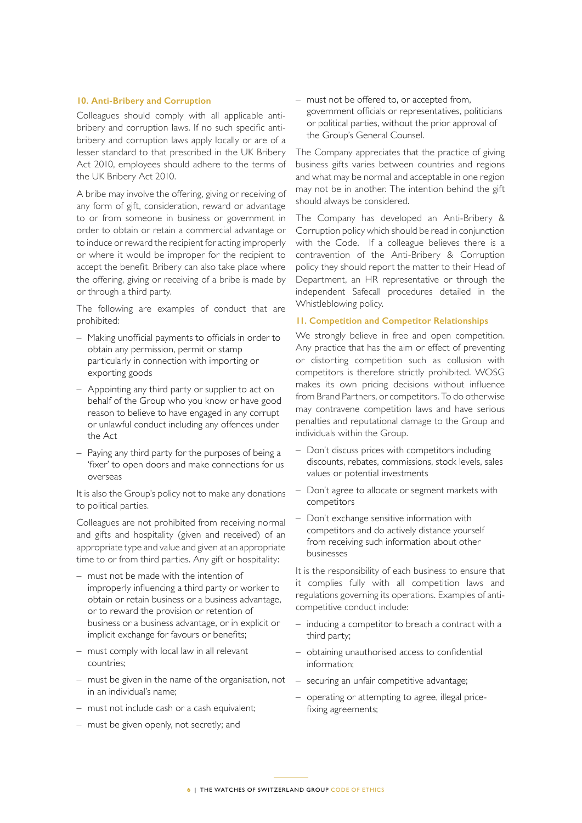#### **10. Anti-Bribery and Corruption**

Colleagues should comply with all applicable antibribery and corruption laws. If no such specific antibribery and corruption laws apply locally or are of a lesser standard to that prescribed in the UK Bribery Act 2010, employees should adhere to the terms of the UK Bribery Act 2010.

A bribe may involve the offering, giving or receiving of any form of gift, consideration, reward or advantage to or from someone in business or government in order to obtain or retain a commercial advantage or to induce or reward the recipient for acting improperly or where it would be improper for the recipient to accept the benefit. Bribery can also take place where the offering, giving or receiving of a bribe is made by or through a third party.

The following are examples of conduct that are prohibited:

- Making unofficial payments to officials in order to obtain any permission, permit or stamp particularly in connection with importing or exporting goods
- Appointing any third party or supplier to act on behalf of the Group who you know or have good reason to believe to have engaged in any corrupt or unlawful conduct including any offences under the Act
- Paying any third party for the purposes of being a 'fixer' to open doors and make connections for us overseas

It is also the Group's policy not to make any donations to political parties.

Colleagues are not prohibited from receiving normal and gifts and hospitality (given and received) of an appropriate type and value and given at an appropriate time to or from third parties. Any gift or hospitality:

- must not be made with the intention of improperly influencing a third party or worker to obtain or retain business or a business advantage, or to reward the provision or retention of business or a business advantage, or in explicit or implicit exchange for favours or benefits;
- must comply with local law in all relevant countries;
- must be given in the name of the organisation, not in an individual's name;
- must not include cash or a cash equivalent;
- must be given openly, not secretly; and

– must not be offered to, or accepted from, government officials or representatives, politicians or political parties, without the prior approval of the Group's General Counsel.

The Company appreciates that the practice of giving business gifts varies between countries and regions and what may be normal and acceptable in one region may not be in another. The intention behind the gift should always be considered.

The Company has developed an Anti-Bribery & Corruption policy which should be read in conjunction with the Code. If a colleague believes there is a contravention of the Anti-Bribery & Corruption policy they should report the matter to their Head of Department, an HR representative or through the independent Safecall procedures detailed in the Whistleblowing policy.

#### **11. Competition and Competitor Relationships**

We strongly believe in free and open competition. Any practice that has the aim or effect of preventing or distorting competition such as collusion with competitors is therefore strictly prohibited. WOSG makes its own pricing decisions without influence from Brand Partners, or competitors. To do otherwise may contravene competition laws and have serious penalties and reputational damage to the Group and individuals within the Group.

- Don't discuss prices with competitors including discounts, rebates, commissions, stock levels, sales values or potential investments
- Don't agree to allocate or segment markets with competitors
- Don't exchange sensitive information with competitors and do actively distance yourself from receiving such information about other businesses

It is the responsibility of each business to ensure that it complies fully with all competition laws and regulations governing its operations. Examples of anticompetitive conduct include:

- inducing a competitor to breach a contract with a third party;
- obtaining unauthorised access to confidential information;
- securing an unfair competitive advantage;
- operating or attempting to agree, illegal pricefixing agreements;

**6** | THE WATCHES OF SWITZERLAND GROUP CODE OF ETHICS